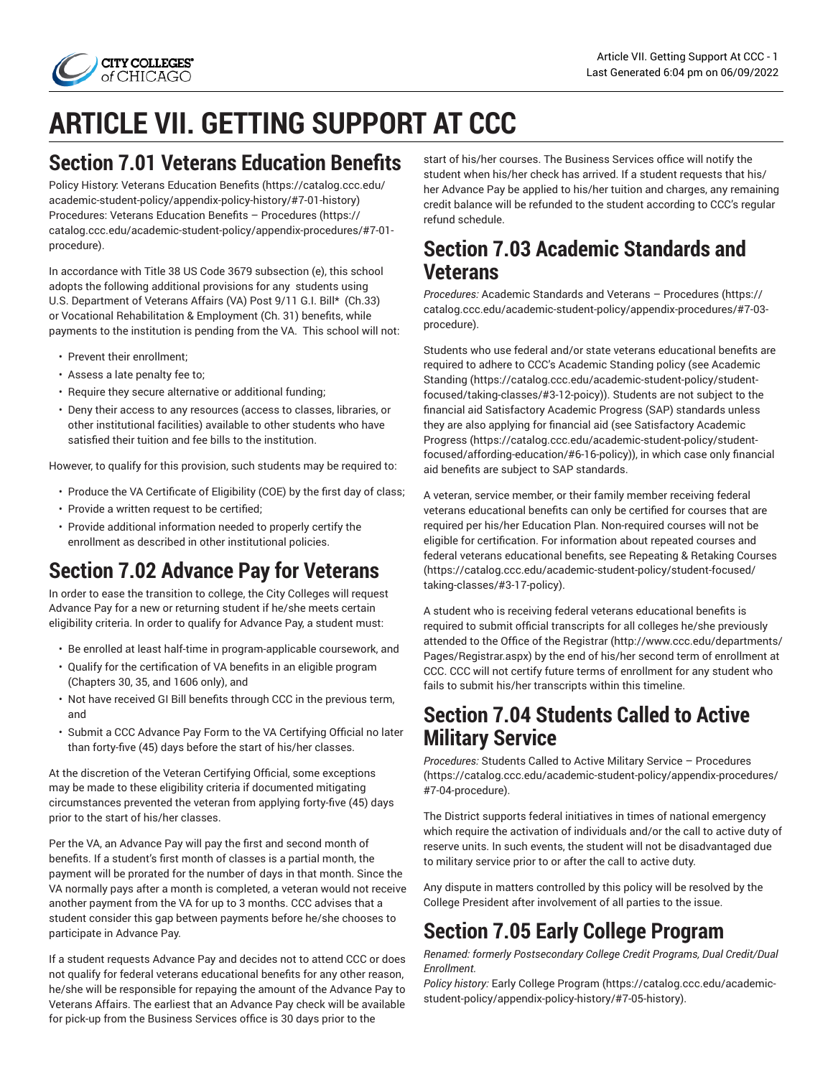

# **ARTICLE VII. GETTING SUPPORT AT CCC**

### **Section 7.01 Veterans Education Benefits**

Policy History: Veterans [Education](https://catalog.ccc.edu/academic-student-policy/appendix-policy-history/#7-01-history) Benefits [\(https://catalog.ccc.edu/](https://catalog.ccc.edu/academic-student-policy/appendix-policy-history/#7-01-history) [academic-student-policy/appendix-policy-history/#7-01-history](https://catalog.ccc.edu/academic-student-policy/appendix-policy-history/#7-01-history)) Procedures: Veterans Education Benefits – [Procedures](https://catalog.ccc.edu/academic-student-policy/appendix-procedures/#7-01-procedure) ([https://](https://catalog.ccc.edu/academic-student-policy/appendix-procedures/#7-01-procedure) [catalog.ccc.edu/academic-student-policy/appendix-procedures/#7-01](https://catalog.ccc.edu/academic-student-policy/appendix-procedures/#7-01-procedure) [procedure](https://catalog.ccc.edu/academic-student-policy/appendix-procedures/#7-01-procedure)).

In accordance with Title 38 US Code 3679 subsection (e), this school adopts the following additional provisions for any students using U.S. Department of Veterans Affairs (VA) Post 9/11 G.I. Bill\* (Ch.33) or Vocational Rehabilitation & Employment (Ch. 31) benefits, while payments to the institution is pending from the VA. This school will not:

- Prevent their enrollment;
- Assess a late penalty fee to;
- Require they secure alternative or additional funding;
- Deny their access to any resources (access to classes, libraries, or other institutional facilities) available to other students who have satisfied their tuition and fee bills to the institution.

However, to qualify for this provision, such students may be required to:

- Produce the VA Certificate of Eligibility (COE) by the first day of class;
- Provide a written request to be certified;
- Provide additional information needed to properly certify the enrollment as described in other institutional policies.

# **Section 7.02 Advance Pay for Veterans**

In order to ease the transition to college, the City Colleges will request Advance Pay for a new or returning student if he/she meets certain eligibility criteria. In order to qualify for Advance Pay, a student must:

- Be enrolled at least half-time in program-applicable coursework, and
- Qualify for the certification of VA benefits in an eligible program (Chapters 30, 35, and 1606 only), and
- Not have received GI Bill benefits through CCC in the previous term, and
- Submit a CCC Advance Pay Form to the VA Certifying Official no later than forty-five (45) days before the start of his/her classes.

At the discretion of the Veteran Certifying Official, some exceptions may be made to these eligibility criteria if documented mitigating circumstances prevented the veteran from applying forty-five (45) days prior to the start of his/her classes.

Per the VA, an Advance Pay will pay the first and second month of benefits. If a student's first month of classes is a partial month, the payment will be prorated for the number of days in that month. Since the VA normally pays after a month is completed, a veteran would not receive another payment from the VA for up to 3 months. CCC advises that a student consider this gap between payments before he/she chooses to participate in Advance Pay.

If a student requests Advance Pay and decides not to attend CCC or does not qualify for federal veterans educational benefits for any other reason, he/she will be responsible for repaying the amount of the Advance Pay to Veterans Affairs. The earliest that an Advance Pay check will be available for pick-up from the Business Services office is 30 days prior to the

start of his/her courses. The Business Services office will notify the student when his/her check has arrived. If a student requests that his/ her Advance Pay be applied to his/her tuition and charges, any remaining credit balance will be refunded to the student according to CCC's regular refund schedule.

### **Section 7.03 Academic Standards and Veterans**

*Procedures:* Academic Standards and Veterans – [Procedures \(https://](https://catalog.ccc.edu/academic-student-policy/appendix-procedures/#7-03-procedure) [catalog.ccc.edu/academic-student-policy/appendix-procedures/#7-03](https://catalog.ccc.edu/academic-student-policy/appendix-procedures/#7-03-procedure) [procedure\)](https://catalog.ccc.edu/academic-student-policy/appendix-procedures/#7-03-procedure).

Students who use federal and/or state veterans educational benefits are required to adhere to CCC's Academic Standing policy (see [Academic](https://catalog.ccc.edu/academic-student-policy/student-focused/taking-classes/#3-12-poicy) [Standing \(https://catalog.ccc.edu/academic-student-policy/student](https://catalog.ccc.edu/academic-student-policy/student-focused/taking-classes/#3-12-poicy)[focused/taking-classes/#3-12-poicy](https://catalog.ccc.edu/academic-student-policy/student-focused/taking-classes/#3-12-poicy))). Students are not subject to the financial aid Satisfactory Academic Progress (SAP) standards unless they are also applying for financial aid (see [Satisfactory](https://catalog.ccc.edu/academic-student-policy/student-focused/affording-education/#6-16-policy) Academic [Progress \(https://catalog.ccc.edu/academic-student-policy/student](https://catalog.ccc.edu/academic-student-policy/student-focused/affording-education/#6-16-policy)[focused/affording-education/#6-16-policy](https://catalog.ccc.edu/academic-student-policy/student-focused/affording-education/#6-16-policy))), in which case only financial aid benefits are subject to SAP standards.

A veteran, service member, or their family member receiving federal veterans educational benefits can only be certified for courses that are required per his/her Education Plan. Non-required courses will not be eligible for certification. For information about repeated courses and federal veterans educational benefits, see [Repeating & Retaking Courses](https://catalog.ccc.edu/academic-student-policy/student-focused/taking-classes/#3-17-policy) [\(https://catalog.ccc.edu/academic-student-policy/student-focused/](https://catalog.ccc.edu/academic-student-policy/student-focused/taking-classes/#3-17-policy) [taking-classes/#3-17-policy\)](https://catalog.ccc.edu/academic-student-policy/student-focused/taking-classes/#3-17-policy).

A student who is receiving federal veterans educational benefits is required to submit official transcripts for all colleges he/she previously attended to the [Office of the Registrar](http://www.ccc.edu/departments/Pages/Registrar.aspx) ([http://www.ccc.edu/departments/](http://www.ccc.edu/departments/Pages/Registrar.aspx) [Pages/Registrar.aspx\)](http://www.ccc.edu/departments/Pages/Registrar.aspx) by the end of his/her second term of enrollment at CCC. CCC will not certify future terms of enrollment for any student who fails to submit his/her transcripts within this timeline.

### **Section 7.04 Students Called to Active Military Service**

*Procedures:* Students Called to Active Military Service – [Procedures](https://catalog.ccc.edu/academic-student-policy/appendix-procedures/#7-04-procedure) [\(https://catalog.ccc.edu/academic-student-policy/appendix-procedures/](https://catalog.ccc.edu/academic-student-policy/appendix-procedures/#7-04-procedure) [#7-04-procedure](https://catalog.ccc.edu/academic-student-policy/appendix-procedures/#7-04-procedure)).

The District supports federal initiatives in times of national emergency which require the activation of individuals and/or the call to active duty of reserve units. In such events, the student will not be disadvantaged due to military service prior to or after the call to active duty.

Any dispute in matters controlled by this policy will be resolved by the College President after involvement of all parties to the issue.

# **Section 7.05 Early College Program**

*Renamed: formerly Postsecondary College Credit Programs, Dual Credit/Dual Enrollment.*

*Policy history:* Early College [Program](https://catalog.ccc.edu/academic-student-policy/appendix-policy-history/#7-05-history) ([https://catalog.ccc.edu/academic](https://catalog.ccc.edu/academic-student-policy/appendix-policy-history/#7-05-history)[student-policy/appendix-policy-history/#7-05-history](https://catalog.ccc.edu/academic-student-policy/appendix-policy-history/#7-05-history)).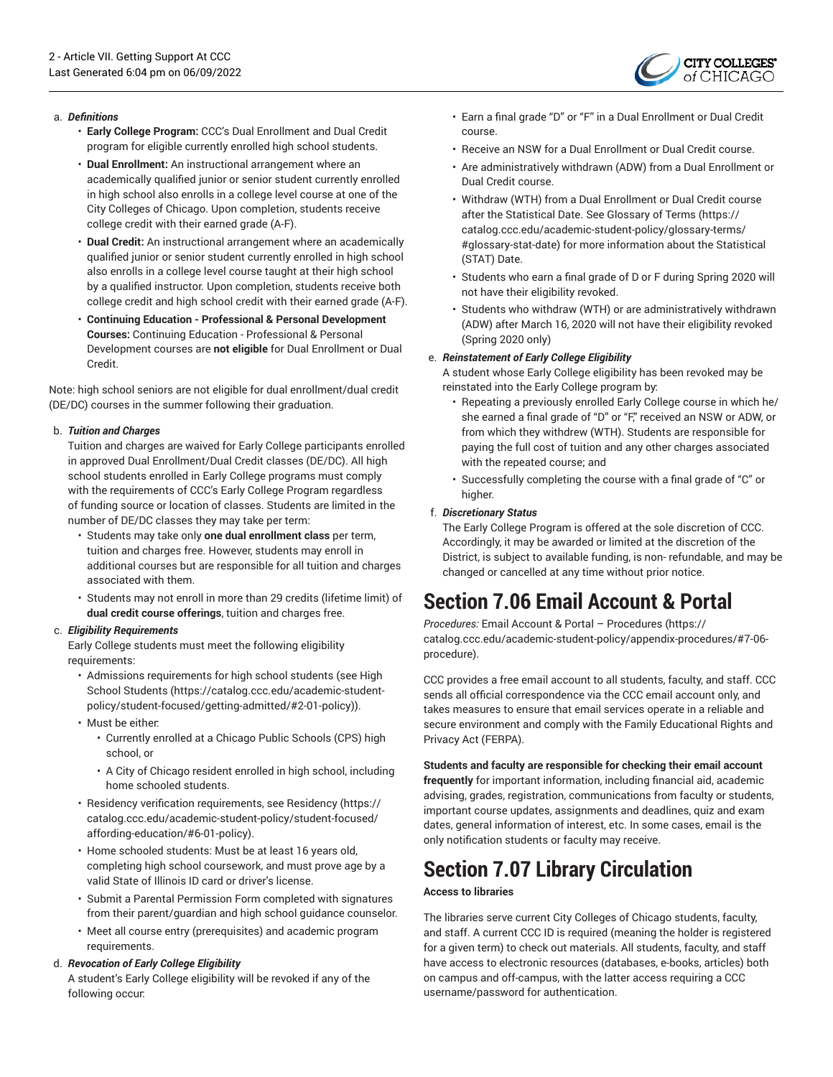

#### a. *Definitions*

- **Early College Program:** CCC's Dual Enrollment and Dual Credit program for eligible currently enrolled high school students.
- **Dual Enrollment:** An instructional arrangement where an academically qualified junior or senior student currently enrolled in high school also enrolls in a college level course at one of the City Colleges of Chicago. Upon completion, students receive college credit with their earned grade (A-F).
- **Dual Credit:** An instructional arrangement where an academically qualified junior or senior student currently enrolled in high school also enrolls in a college level course taught at their high school by a qualified instructor. Upon completion, students receive both college credit and high school credit with their earned grade (A-F).
- **Continuing Education - Professional & Personal Development Courses:** Continuing Education - Professional & Personal Development courses are **not eligible** for Dual Enrollment or Dual Credit.

Note: high school seniors are not eligible for dual enrollment/dual credit (DE/DC) courses in the summer following their graduation.

#### b. *Tuition and Charges*

Tuition and charges are waived for Early College participants enrolled in approved Dual Enrollment/Dual Credit classes (DE/DC). All high school students enrolled in Early College programs must comply with the requirements of CCC's Early College Program regardless of funding source or location of classes. Students are limited in the number of DE/DC classes they may take per term:

- Students may take only **one dual enrollment class** per term, tuition and charges free. However, students may enroll in additional courses but are responsible for all tuition and charges associated with them.
- Students may not enroll in more than 29 credits (lifetime limit) of **dual credit course offerings**, tuition and charges free.

#### c. *Eligibility Requirements*

Early College students must meet the following eligibility requirements:

- Admissions requirements for high school students (see [High](https://catalog.ccc.edu/academic-student-policy/student-focused/getting-admitted/#2-01-policy) [School Students](https://catalog.ccc.edu/academic-student-policy/student-focused/getting-admitted/#2-01-policy) [\(https://catalog.ccc.edu/academic-student](https://catalog.ccc.edu/academic-student-policy/student-focused/getting-admitted/#2-01-policy)[policy/student-focused/getting-admitted/#2-01-policy](https://catalog.ccc.edu/academic-student-policy/student-focused/getting-admitted/#2-01-policy))).
- Must be either:
	- Currently enrolled at a Chicago Public Schools (CPS) high school, or
	- A City of Chicago resident enrolled in high school, including home schooled students.
- Residency verification requirements, see [Residency](https://catalog.ccc.edu/academic-student-policy/student-focused/affording-education/#6-01-policy) ([https://](https://catalog.ccc.edu/academic-student-policy/student-focused/affording-education/#6-01-policy) [catalog.ccc.edu/academic-student-policy/student-focused/](https://catalog.ccc.edu/academic-student-policy/student-focused/affording-education/#6-01-policy) [affording-education/#6-01-policy](https://catalog.ccc.edu/academic-student-policy/student-focused/affording-education/#6-01-policy)).
- Home schooled students: Must be at least 16 years old, completing high school coursework, and must prove age by a valid State of Illinois ID card or driver's license.
- Submit a Parental Permission Form completed with signatures from their parent/guardian and high school guidance counselor.
- Meet all course entry (prerequisites) and academic program requirements.

#### d. *Revocation of Early College Eligibility*

A student's Early College eligibility will be revoked if any of the following occur:

- Earn a final grade "D" or "F" in a Dual Enrollment or Dual Credit course.
- Receive an NSW for a Dual Enrollment or Dual Credit course.
- Are administratively withdrawn (ADW) from a Dual Enrollment or Dual Credit course.
- Withdraw (WTH) from a Dual Enrollment or Dual Credit course after the Statistical Date. See [Glossary](https://catalog.ccc.edu/academic-student-policy/glossary-terms/#glossary-stat-date) of Terms [\(https://](https://catalog.ccc.edu/academic-student-policy/glossary-terms/#glossary-stat-date) [catalog.ccc.edu/academic-student-policy/glossary-terms/](https://catalog.ccc.edu/academic-student-policy/glossary-terms/#glossary-stat-date) [#glossary-stat-date](https://catalog.ccc.edu/academic-student-policy/glossary-terms/#glossary-stat-date)) for more information about the Statistical (STAT) Date.
- Students who earn a final grade of D or F during Spring 2020 will not have their eligibility revoked.
- Students who withdraw (WTH) or are administratively withdrawn (ADW) after March 16, 2020 will not have their eligibility revoked (Spring 2020 only)

#### e. *Reinstatement of Early College Eligibility*

A student whose Early College eligibility has been revoked may be reinstated into the Early College program by:

- Repeating a previously enrolled Early College course in which he/ she earned a final grade of "D" or "F," received an NSW or ADW, or from which they withdrew (WTH). Students are responsible for paying the full cost of tuition and any other charges associated with the repeated course; and
- Successfully completing the course with a final grade of "C" or higher.

#### f. *Discretionary Status*

The Early College Program is offered at the sole discretion of CCC. Accordingly, it may be awarded or limited at the discretion of the District, is subject to available funding, is non- refundable, and may be changed or cancelled at any time without prior notice.

# **Section 7.06 Email Account & Portal**

*Procedures:* Email Account & Portal – [Procedures](https://catalog.ccc.edu/academic-student-policy/appendix-procedures/#7-06-procedure) ([https://](https://catalog.ccc.edu/academic-student-policy/appendix-procedures/#7-06-procedure) [catalog.ccc.edu/academic-student-policy/appendix-procedures/#7-06](https://catalog.ccc.edu/academic-student-policy/appendix-procedures/#7-06-procedure) [procedure\)](https://catalog.ccc.edu/academic-student-policy/appendix-procedures/#7-06-procedure).

CCC provides a free email account to all students, faculty, and staff. CCC sends all official correspondence via the CCC email account only, and takes measures to ensure that email services operate in a reliable and secure environment and comply with the Family Educational Rights and Privacy Act (FERPA).

**Students and faculty are responsible for checking their email account frequently** for important information, including financial aid, academic advising, grades, registration, communications from faculty or students, important course updates, assignments and deadlines, quiz and exam dates, general information of interest, etc. In some cases, email is the only notification students or faculty may receive.

# **Section 7.07 Library Circulation**

#### **Access to libraries**

The libraries serve current City Colleges of Chicago students, faculty, and staff. A current CCC ID is required (meaning the holder is registered for a given term) to check out materials. All students, faculty, and staff have access to electronic resources (databases, e-books, articles) both on campus and off-campus, with the latter access requiring a CCC username/password for authentication.